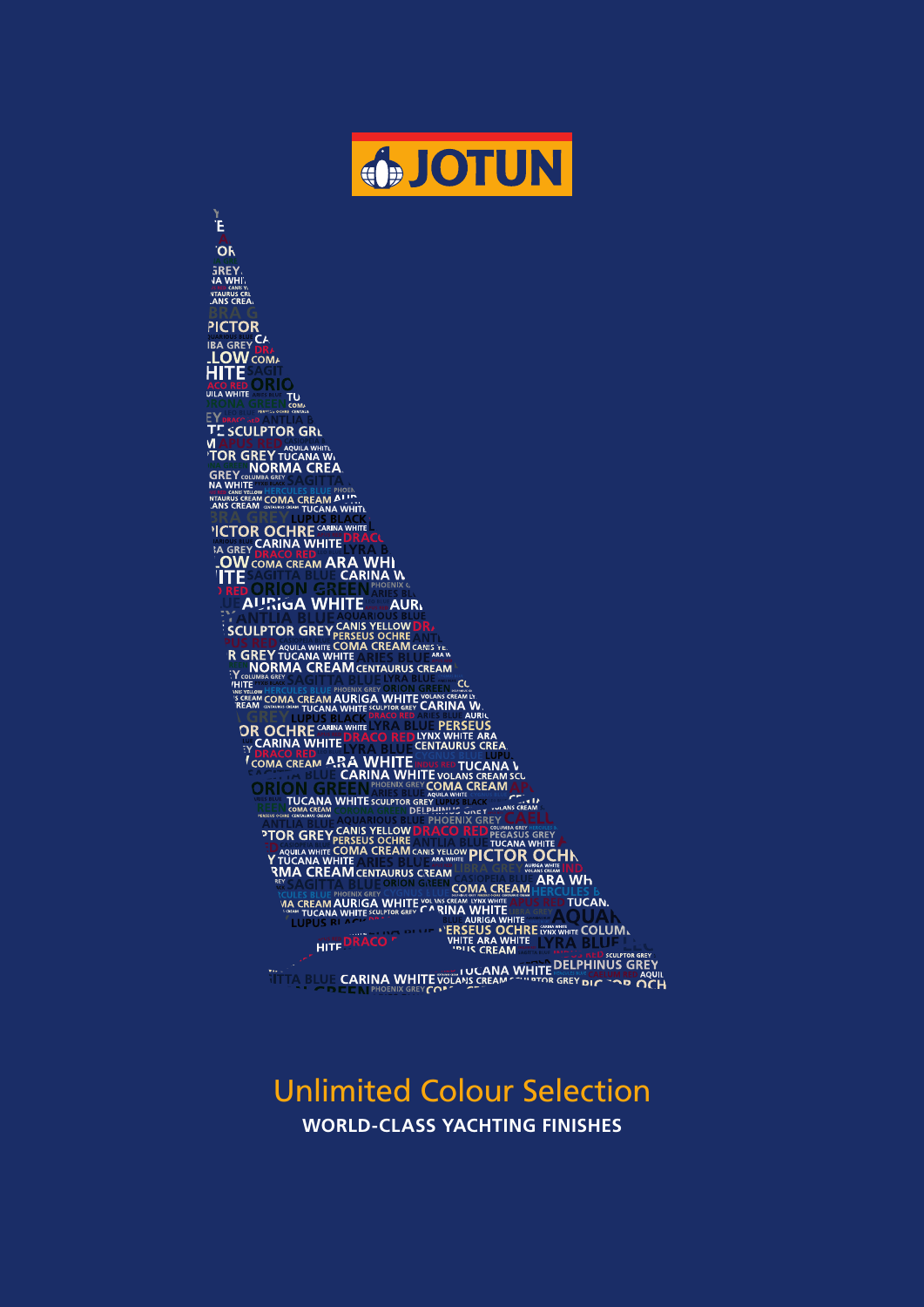

Ë

**OR SREY** *IS RED CANIS YN*<br>**NTAURUS CREA PICTOR** PICTOR<br>IBA GREY DRA<br>**LOW** COMA<br>HITE SACIL<br>ACO RED O RI **ALU RED** TU<sub>COM</sub> **TE SCULPTOR GRL TABLE TREAT AND THE STATE OF A SULTREY CONDUCTS**<br>
TOR GREY TUCANA W.<br>
GREY MORMA CREA **BRA GREY UPUS BLACK**<br> **NCTOR OCHRE<sup>CARINA</sup>CHE**<br> **SA GREY PRACO RED.<br>
LOW COMA CREAM ARA WHI.<br>
ITE SAGINAL CARINA W.<br>
ITE SAGINAL CARINA W.<br>

TE DORION CREAM CARINA W. AURIGA WHITE AUR** SCULPTOR GREY CANIS YELLOW DR.<br>
R GREY TUCANA WHITE COMA CREAM CANIS TELLOW DR.<br>
TO MORMA CREAM CENTAURUS CREAM CANIS TELLOW DR.<br>
TO MORMA CREAM CHATAURUS CREAM<br>
THE SHERCULES BLUE PHOENX GREY ORIO DR. AND CLAN THE CARINA NE GREEV TUCANA WHITE SURFACE AND A BURGLE AND A DRUG OF SILL PORT OF A DRUG OF SALE OF A BURGLE AND A DRUG OF SALE OF A BURGLE AND A DRUG OF A BURGLE AND A BURGLE AND A DRUG OF A BURGLE AND A DRUG OF A BURGLE AND A BURGLE EN CONTRACTO NE EN CONTRACTO NE EN CONTRACTO NE EN CONTRACTO NE EN CONTRACTO NE EN CONTRACTO NE EN CONTRACTO N<br>
CONTRACTO NE EN CONTRACTO NE EN CONTRACTO NE EN CONTRACTO NE EN CONTRACTO NE EN CONTRACTO NE EN CONTRACTO NE E **PROFINE AND ACTEUR PROFINATION OF A CONSIDERED PEGASUS GREY AND TO A CONSIDER A CONSIDERATION OF A CONSIDERATION OF A CONSIDERATION OF A CONSIDERATION OF A CONSIDERATION OF A CONSIDERATION OF A CONSIDERATION OF A CONSIDER NURUS CREAM LIBRA GREY AND SERVER IND.<br>ORION GREEN COMA CREAM HERCULES** EXAMPLE SUPER COMA CREAM AND REAL WAY TO THE AREA WELL AND REAL WAY TO THE APPORTUNE ON THE APPORTUNE AND REAL WAY TO THE AREA WAY TO THE AREA WAY TO THE AREA WAY TO THE AREA WAY TO THE AREA WAY TO THE AREA WAY TO THE AREA **EXERCISE OF A SUBSERIES AND SCIENCES AND SCIENCES AND SCIENCES AND SCIENCES AND SCIENCES AND SCIENCES AND SCIENCES AND SCIENCES AND SCIENCES AND SCIENCES AND SCIENCES AND SCIENCES AND SCIENCES AND SCIENCES AND SCIENCES AN** 

## Unlimited Colour Selection **WORLD-CLASS YACHTING FINISHES**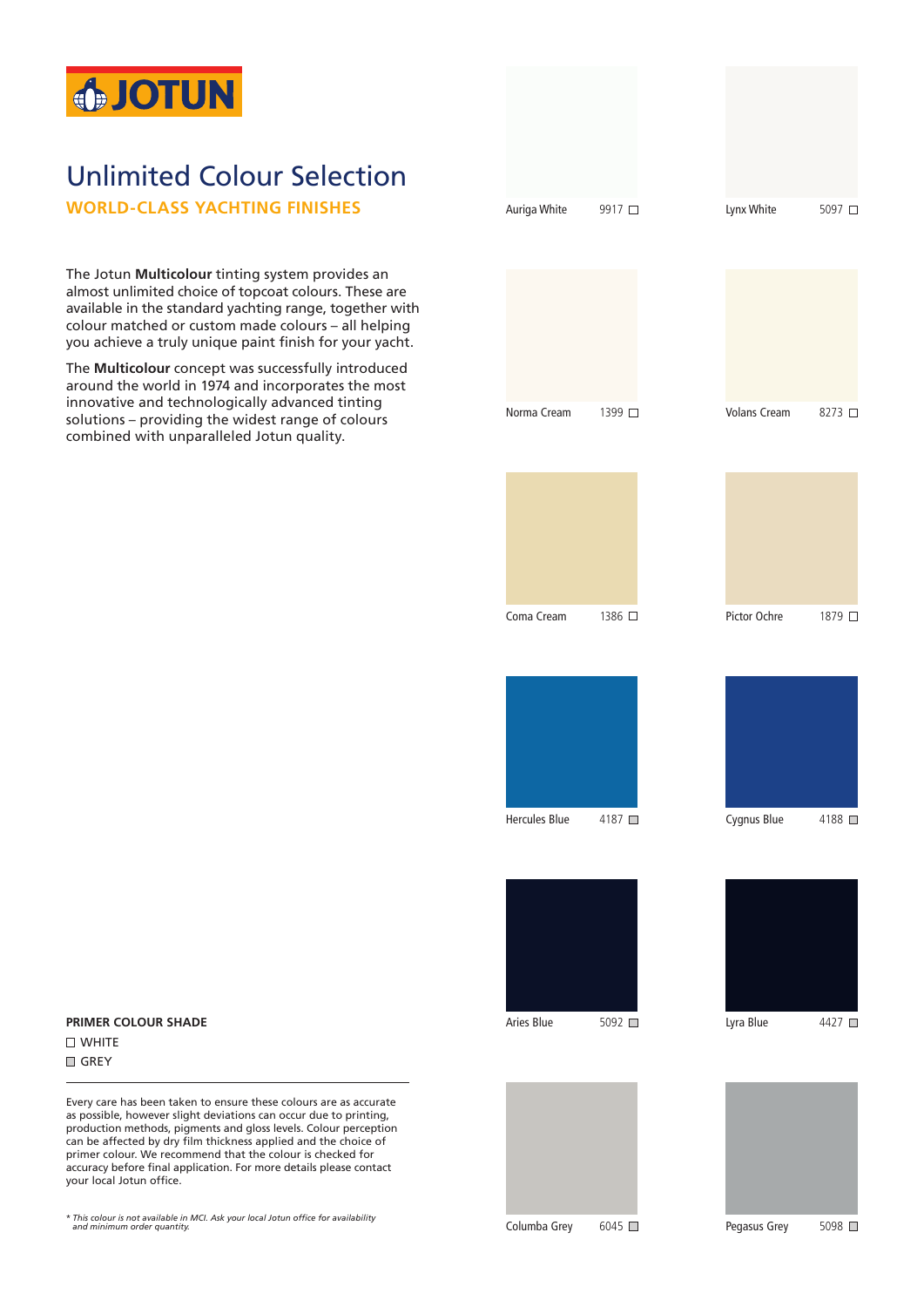

## Unlimited Colour Selection

**WORLD-CLASS YACHTING FINISHES**

The Jotun **Multicolour** tinting system provides an almost unlimited choice of topcoat colours. These are available in the standard yachting range, together with colour matched or custom made colours – all helping you achieve a truly unique paint finish for your yacht.

The **Multicolour** concept was successfully introduced around the world in 1974 and incorporates the most innovative and technologically advanced tinting solutions – providing the widest range of colours combined with unparalleled Jotun quality.



Norma Cream 1399 □















**PRIMER COLOUR SHADE D** WHITE GREY

Every care has been taken to ensure these colours are as accurate as possible, however slight deviations can occur due to printing, production methods, pigments and gloss levels. Colour perception can be affected by dry film thickness applied and the choice of primer colour. We recommend that the colour is checked for accuracy before final application. For more details please contact your local Jotun office.

\* *This colour is not available in MCI. Ask your local Jotun office for availability and minimum order quantity.*

Columba Grey 6045

Pegasus Grey 5098